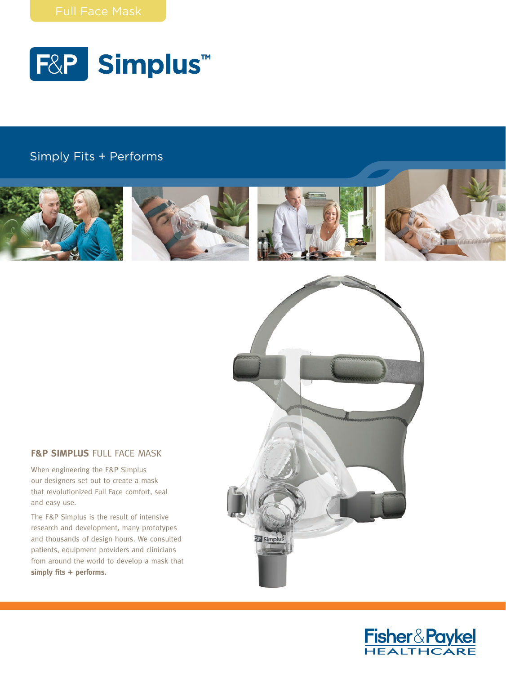

# $S$ imply Fits + Performs with Young with Young



## **F&P SIMPLUS FULL FACE MASK**

When engineering the F&P Simplus our designers set out to create a mask that revolutionized Full Face comfort, seal and easy use.

The F&P Simplus is the result of intensive research and development, many prototypes and thousands of design hours. We consulted patients, equipment providers and clinicians from around the world to develop a mask that **simply fits + performs.**